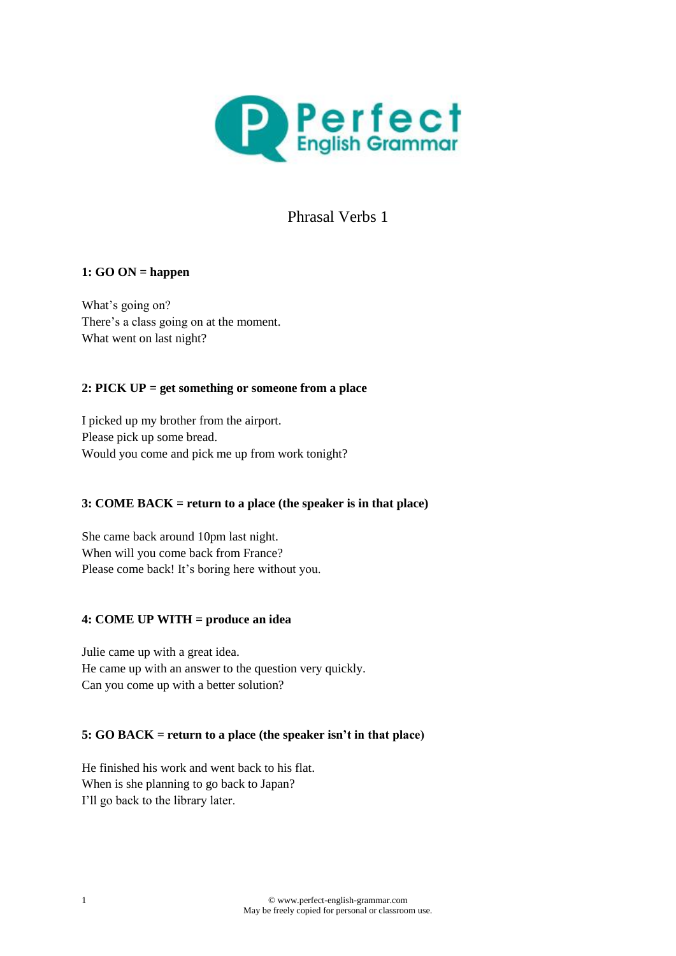

# Phrasal Verbs 1

# **1: GO ON = happen**

What's going on? There's a class going on at the moment. What went on last night?

# **2: PICK UP = get something or someone from a place**

I picked up my brother from the airport. Please pick up some bread. Would you come and pick me up from work tonight?

# **3: COME BACK = return to a place (the speaker is in that place)**

She came back around 10pm last night. When will you come back from France? Please come back! It's boring here without you.

#### **4: COME UP WITH = produce an idea**

Julie came up with a great idea. He came up with an answer to the question very quickly. Can you come up with a better solution?

#### **5: GO BACK = return to a place (the speaker isn't in that place)**

He finished his work and went back to his flat. When is she planning to go back to Japan? I'll go back to the library later.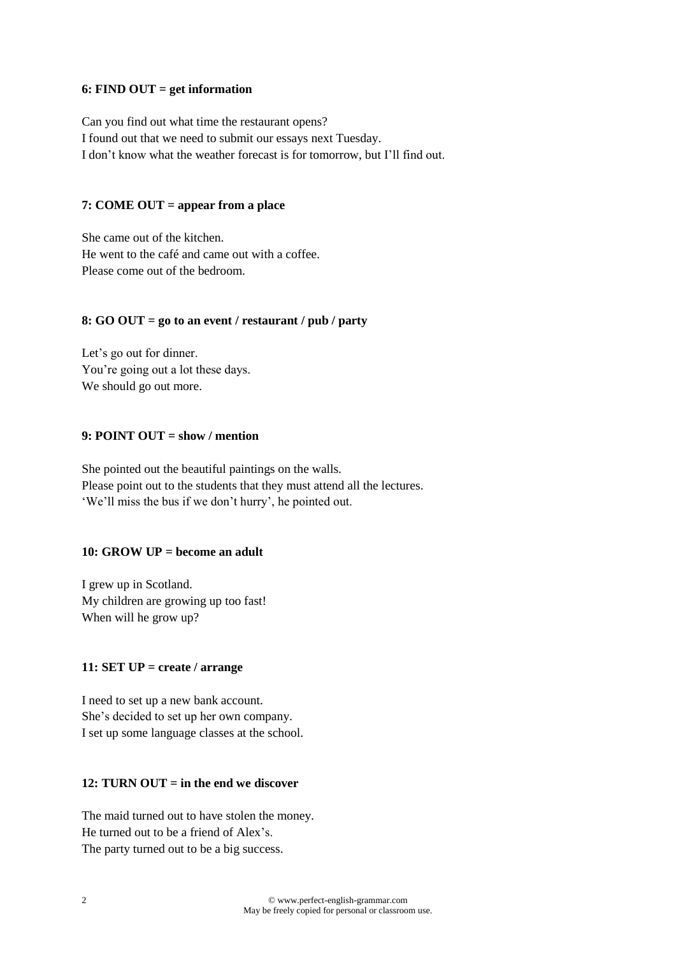#### **6: FIND OUT = get information**

Can you find out what time the restaurant opens? I found out that we need to submit our essays next Tuesday. I don't know what the weather forecast is for tomorrow, but I'll find out.

#### **7: COME OUT = appear from a place**

She came out of the kitchen. He went to the café and came out with a coffee. Please come out of the bedroom.

#### **8: GO OUT = go to an event / restaurant / pub / party**

Let's go out for dinner. You're going out a lot these days. We should go out more.

# **9: POINT OUT = show / mention**

She pointed out the beautiful paintings on the walls. Please point out to the students that they must attend all the lectures. 'We'll miss the bus if we don't hurry', he pointed out.

#### **10: GROW UP = become an adult**

I grew up in Scotland. My children are growing up too fast! When will he grow up?

#### **11: SET UP = create / arrange**

I need to set up a new bank account. She's decided to set up her own company. I set up some language classes at the school.

## **12: TURN OUT = in the end we discover**

The maid turned out to have stolen the money. He turned out to be a friend of Alex's. The party turned out to be a big success.